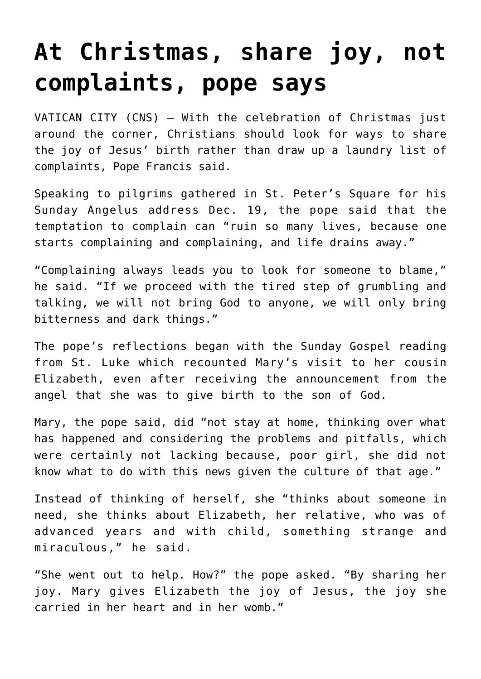## **[At Christmas, share joy, not](https://www.osvnews.com/2021/12/20/at-christmas-share-joy-not-complaints-pope-says/) [complaints, pope says](https://www.osvnews.com/2021/12/20/at-christmas-share-joy-not-complaints-pope-says/)**

VATICAN CITY (CNS) — With the celebration of Christmas just around the corner, Christians should look for ways to share the joy of Jesus' birth rather than draw up a laundry list of complaints, Pope Francis said.

Speaking to pilgrims gathered in St. Peter's Square for his Sunday Angelus address Dec. 19, the pope said that the temptation to complain can "ruin so many lives, because one starts complaining and complaining, and life drains away."

"Complaining always leads you to look for someone to blame," he said. "If we proceed with the tired step of grumbling and talking, we will not bring God to anyone, we will only bring bitterness and dark things."

The pope's reflections began with the Sunday Gospel reading from St. Luke which recounted Mary's visit to her cousin Elizabeth, even after receiving the announcement from the angel that she was to give birth to the son of God.

Mary, the pope said, did "not stay at home, thinking over what has happened and considering the problems and pitfalls, which were certainly not lacking because, poor girl, she did not know what to do with this news given the culture of that age."

Instead of thinking of herself, she "thinks about someone in need, she thinks about Elizabeth, her relative, who was of advanced years and with child, something strange and miraculous," he said.

"She went out to help. How?" the pope asked. "By sharing her joy. Mary gives Elizabeth the joy of Jesus, the joy she carried in her heart and in her womb."